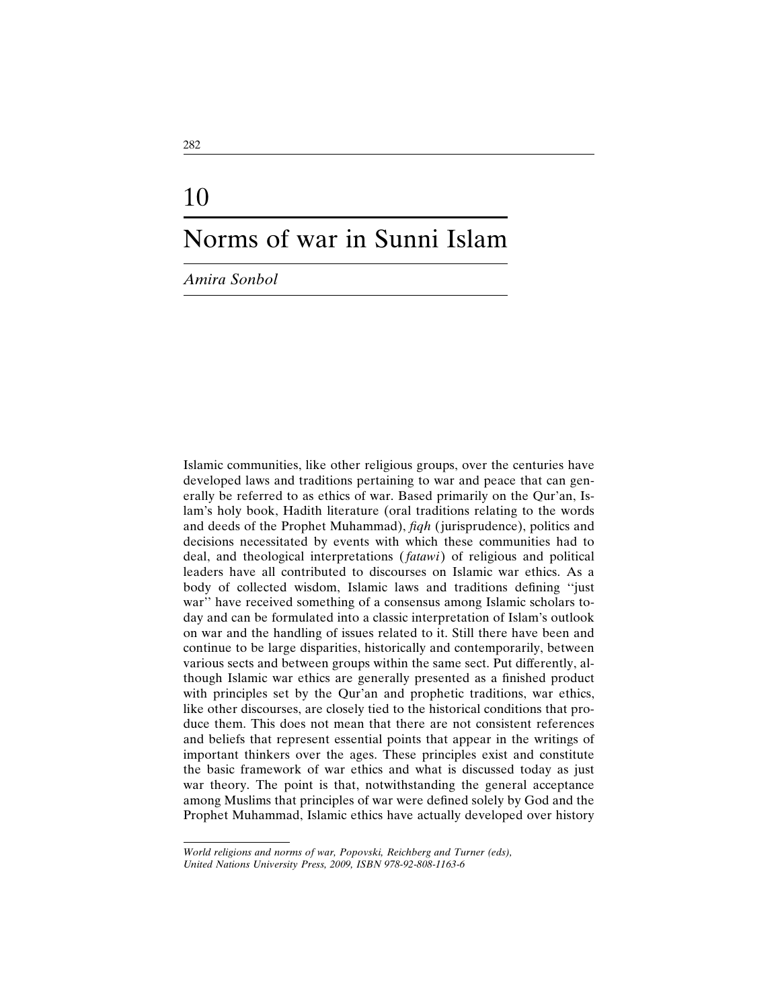# 10 Norms of war in Sunni Islam

Amira Sonbol

Islamic communities, like other religious groups, over the centuries have developed laws and traditions pertaining to war and peace that can generally be referred to as ethics of war. Based primarily on the Qur'an, Islam's holy book, Hadith literature (oral traditions relating to the words and deeds of the Prophet Muhammad), figh (jurisprudence), politics and decisions necessitated by events with which these communities had to deal, and theological interpretations (fatawi) of religious and political leaders have all contributed to discourses on Islamic war ethics. As a body of collected wisdom, Islamic laws and traditions defining ''just war'' have received something of a consensus among Islamic scholars today and can be formulated into a classic interpretation of Islam's outlook on war and the handling of issues related to it. Still there have been and continue to be large disparities, historically and contemporarily, between various sects and between groups within the same sect. Put differently, although Islamic war ethics are generally presented as a finished product with principles set by the Qur'an and prophetic traditions, war ethics, like other discourses, are closely tied to the historical conditions that produce them. This does not mean that there are not consistent references and beliefs that represent essential points that appear in the writings of important thinkers over the ages. These principles exist and constitute the basic framework of war ethics and what is discussed today as just war theory. The point is that, notwithstanding the general acceptance among Muslims that principles of war were defined solely by God and the Prophet Muhammad, Islamic ethics have actually developed over history

World religions and norms of war, Popovski, Reichberg and Turner (eds), United Nations University Press, 2009, ISBN 978-92-808-1163-6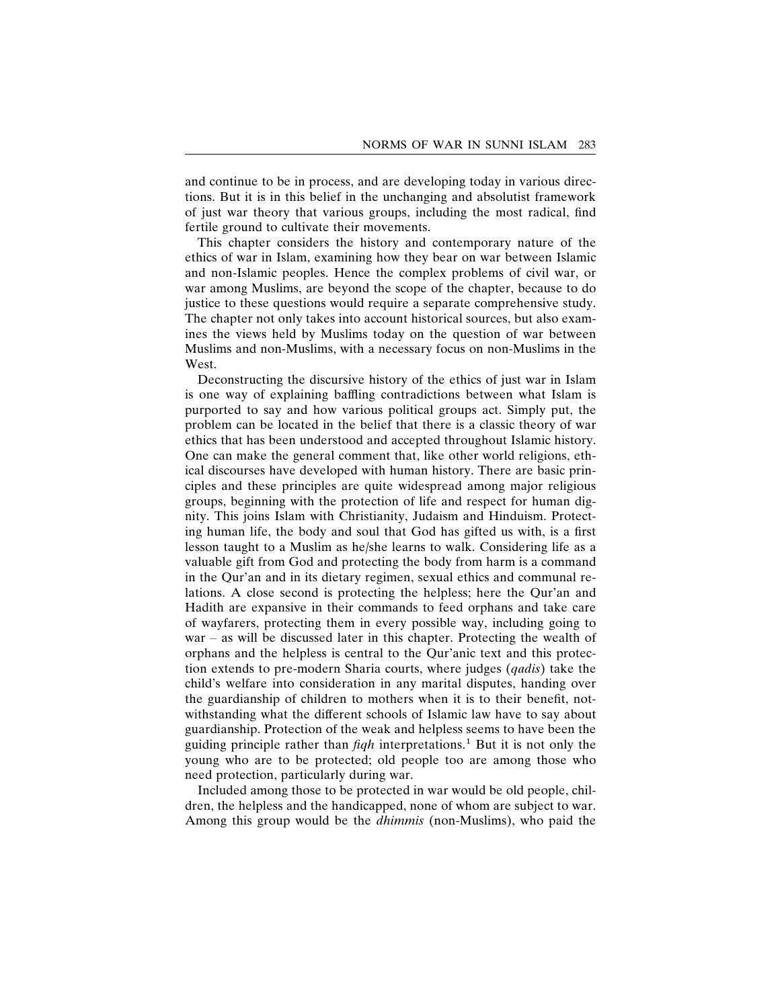and continue to be in process, and are developing today in various directions. But it is in this belief in the unchanging and absolutist framework of just war theory that various groups, including the most radical, find fertile ground to cultivate their movements.

This chapter considers the history and contemporary nature of the ethics of war in Islam, examining how they bear on war between Islamic and non-Islamic peoples. Hence the complex problems of civil war, or war among Muslims, are beyond the scope of the chapter, because to do justice to these questions would require a separate comprehensive study. The chapter not only takes into account historical sources, but also examines the views held by Muslims today on the question of war between Muslims and non-Muslims, with a necessary focus on non-Muslims in the West.

Deconstructing the discursive history of the ethics of just war in Islam is one way of explaining baffling contradictions between what Islam is purported to say and how various political groups act. Simply put, the problem can be located in the belief that there is a classic theory of war ethics that has been understood and accepted throughout Islamic history. One can make the general comment that, like other world religions, ethical discourses have developed with human history. There are basic principles and these principles are quite widespread among major religious groups, beginning with the protection of life and respect for human dignity. This joins Islam with Christianity, Judaism and Hinduism. Protecting human life, the body and soul that God has gifted us with, is a first lesson taught to a Muslim as he/she learns to walk. Considering life as a valuable gift from God and protecting the body from harm is a command in the Qur'an and in its dietary regimen, sexual ethics and communal relations. A close second is protecting the helpless; here the Qur'an and Hadith are expansive in their commands to feed orphans and take care of wayfarers, protecting them in every possible way, including going to war – as will be discussed later in this chapter. Protecting the wealth of orphans and the helpless is central to the Qur'anic text and this protection extends to pre-modern Sharia courts, where judges (qadis) take the child's welfare into consideration in any marital disputes, handing over the guardianship of children to mothers when it is to their benefit, notwithstanding what the different schools of Islamic law have to say about guardianship. Protection of the weak and helpless seems to have been the guiding principle rather than  $figh$  interpretations.<sup>1</sup> But it is not only the young who are to be protected; old people too are among those who need protection, particularly during war.

Included among those to be protected in war would be old people, children, the helpless and the handicapped, none of whom are subject to war. Among this group would be the dhimmis (non-Muslims), who paid the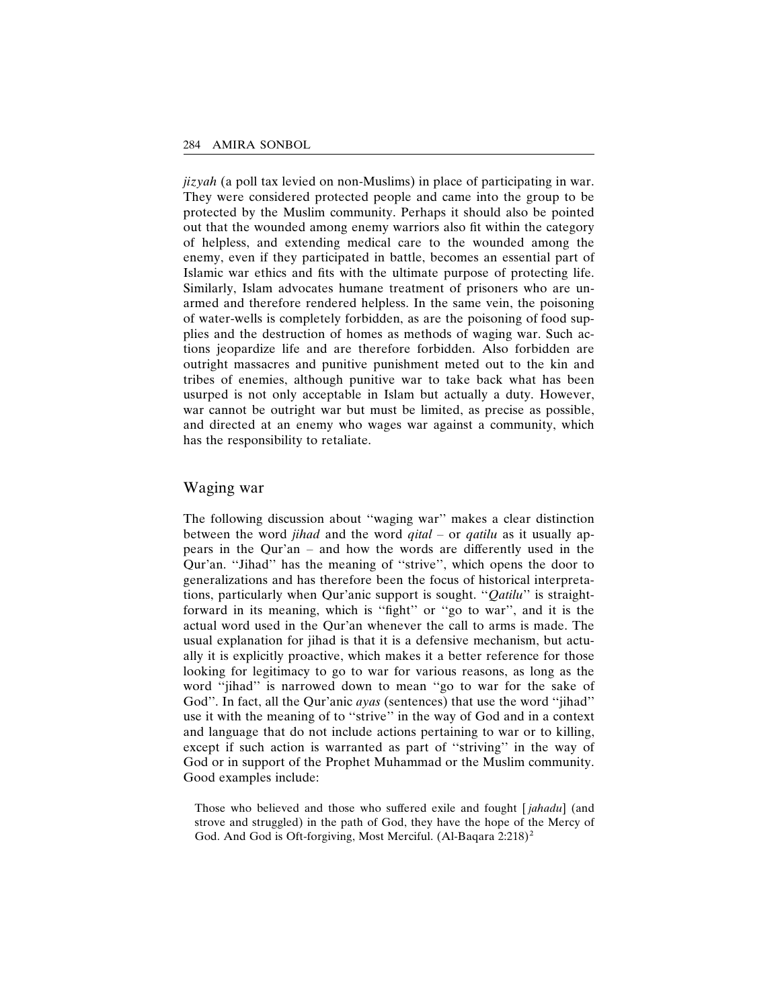$jizyah$  (a poll tax levied on non-Muslims) in place of participating in war. They were considered protected people and came into the group to be protected by the Muslim community. Perhaps it should also be pointed out that the wounded among enemy warriors also fit within the category of helpless, and extending medical care to the wounded among the enemy, even if they participated in battle, becomes an essential part of Islamic war ethics and fits with the ultimate purpose of protecting life. Similarly, Islam advocates humane treatment of prisoners who are unarmed and therefore rendered helpless. In the same vein, the poisoning of water-wells is completely forbidden, as are the poisoning of food supplies and the destruction of homes as methods of waging war. Such actions jeopardize life and are therefore forbidden. Also forbidden are outright massacres and punitive punishment meted out to the kin and tribes of enemies, although punitive war to take back what has been usurped is not only acceptable in Islam but actually a duty. However, war cannot be outright war but must be limited, as precise as possible, and directed at an enemy who wages war against a community, which has the responsibility to retaliate.

#### Waging war

The following discussion about ''waging war'' makes a clear distinction between the word *jihad* and the word *gital –* or *gatilu* as it usually appears in the Qur'an – and how the words are differently used in the Qur'an. ''Jihad'' has the meaning of ''strive'', which opens the door to generalizations and has therefore been the focus of historical interpretations, particularly when Qur'anic support is sought. "Qatilu" is straightforward in its meaning, which is ''fight'' or ''go to war'', and it is the actual word used in the Qur'an whenever the call to arms is made. The usual explanation for jihad is that it is a defensive mechanism, but actually it is explicitly proactive, which makes it a better reference for those looking for legitimacy to go to war for various reasons, as long as the word ''jihad'' is narrowed down to mean ''go to war for the sake of God". In fact, all the Our'anic *ayas* (sentences) that use the word "jihad" use it with the meaning of to ''strive'' in the way of God and in a context and language that do not include actions pertaining to war or to killing, except if such action is warranted as part of ''striving'' in the way of God or in support of the Prophet Muhammad or the Muslim community. Good examples include:

Those who believed and those who suffered exile and fought [*jahadu*] (and strove and struggled) in the path of God, they have the hope of the Mercy of God. And God is Oft-forgiving, Most Merciful. (Al-Bagara 2:218)<sup>2</sup>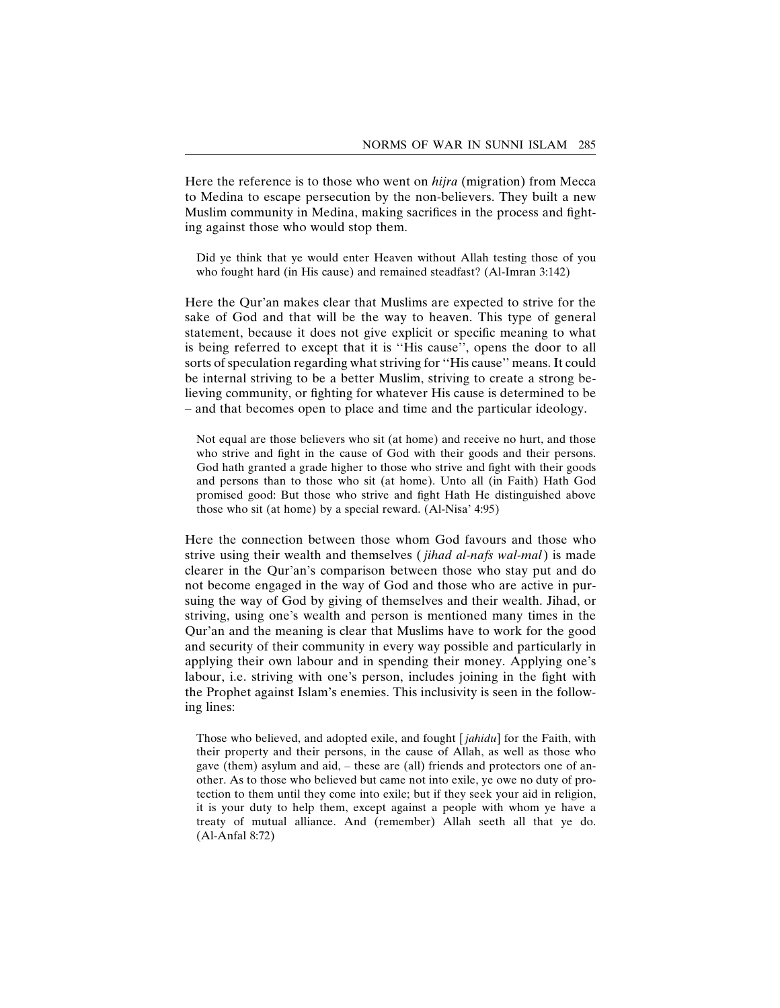Here the reference is to those who went on *hijra* (migration) from Mecca to Medina to escape persecution by the non-believers. They built a new Muslim community in Medina, making sacrifices in the process and fighting against those who would stop them.

Did ye think that ye would enter Heaven without Allah testing those of you who fought hard (in His cause) and remained steadfast? (Al-Imran 3:142)

Here the Qur'an makes clear that Muslims are expected to strive for the sake of God and that will be the way to heaven. This type of general statement, because it does not give explicit or specific meaning to what is being referred to except that it is ''His cause'', opens the door to all sorts of speculation regarding what striving for ''His cause'' means. It could be internal striving to be a better Muslim, striving to create a strong believing community, or fighting for whatever His cause is determined to be – and that becomes open to place and time and the particular ideology.

Not equal are those believers who sit (at home) and receive no hurt, and those who strive and fight in the cause of God with their goods and their persons. God hath granted a grade higher to those who strive and fight with their goods and persons than to those who sit (at home). Unto all (in Faith) Hath God promised good: But those who strive and fight Hath He distinguished above those who sit (at home) by a special reward. (Al-Nisa' 4:95)

Here the connection between those whom God favours and those who strive using their wealth and themselves (*jihad al-nafs wal-mal*) is made clearer in the Qur'an's comparison between those who stay put and do not become engaged in the way of God and those who are active in pursuing the way of God by giving of themselves and their wealth. Jihad, or striving, using one's wealth and person is mentioned many times in the Qur'an and the meaning is clear that Muslims have to work for the good and security of their community in every way possible and particularly in applying their own labour and in spending their money. Applying one's labour, i.e. striving with one's person, includes joining in the fight with the Prophet against Islam's enemies. This inclusivity is seen in the following lines:

Those who believed, and adopted exile, and fought [*jahidu*] for the Faith, with their property and their persons, in the cause of Allah, as well as those who gave (them) asylum and aid, – these are (all) friends and protectors one of another. As to those who believed but came not into exile, ye owe no duty of protection to them until they come into exile; but if they seek your aid in religion, it is your duty to help them, except against a people with whom ye have a treaty of mutual alliance. And (remember) Allah seeth all that ye do. (Al-Anfal 8:72)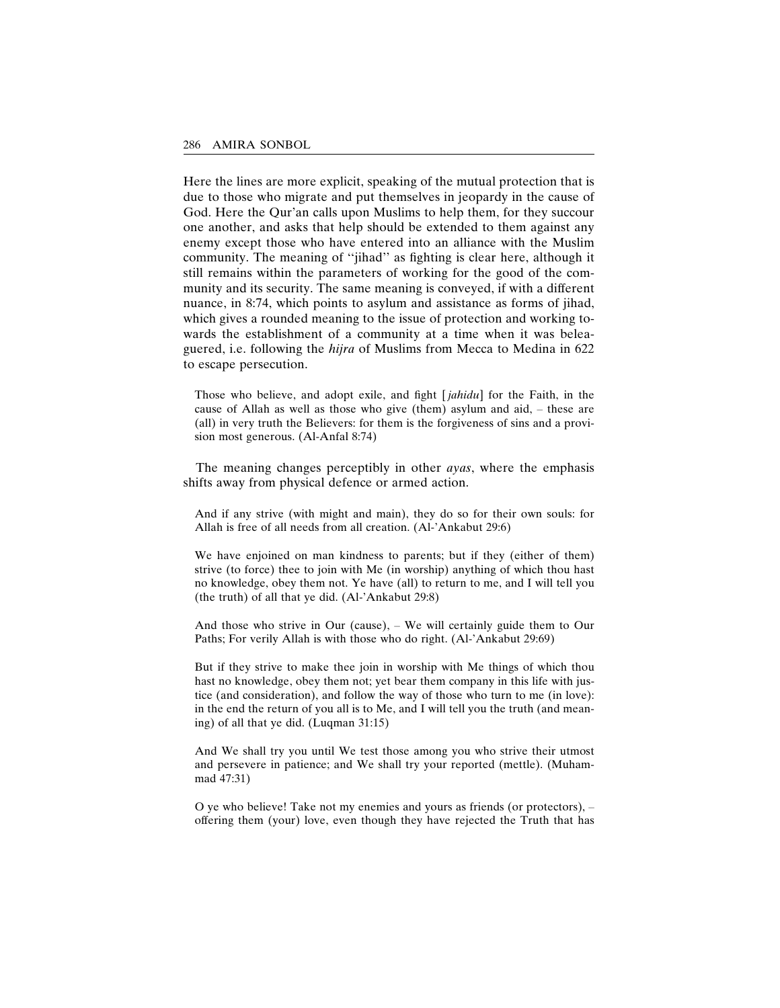Here the lines are more explicit, speaking of the mutual protection that is due to those who migrate and put themselves in jeopardy in the cause of God. Here the Qur'an calls upon Muslims to help them, for they succour one another, and asks that help should be extended to them against any enemy except those who have entered into an alliance with the Muslim community. The meaning of ''jihad'' as fighting is clear here, although it still remains within the parameters of working for the good of the community and its security. The same meaning is conveyed, if with a different nuance, in 8:74, which points to asylum and assistance as forms of jihad, which gives a rounded meaning to the issue of protection and working towards the establishment of a community at a time when it was beleaguered, i.e. following the hijra of Muslims from Mecca to Medina in 622 to escape persecution.

Those who believe, and adopt exile, and fight [*jahidu*] for the Faith, in the cause of Allah as well as those who give (them) asylum and aid, – these are (all) in very truth the Believers: for them is the forgiveness of sins and a provision most generous. (Al-Anfal 8:74)

The meaning changes perceptibly in other ayas, where the emphasis shifts away from physical defence or armed action.

And if any strive (with might and main), they do so for their own souls: for Allah is free of all needs from all creation. (Al-'Ankabut 29:6)

We have enjoined on man kindness to parents; but if they (either of them) strive (to force) thee to join with Me (in worship) anything of which thou hast no knowledge, obey them not. Ye have (all) to return to me, and I will tell you (the truth) of all that ye did. (Al-'Ankabut 29:8)

And those who strive in Our (cause), – We will certainly guide them to Our Paths; For verily Allah is with those who do right. (Al-'Ankabut 29:69)

But if they strive to make thee join in worship with Me things of which thou hast no knowledge, obey them not; yet bear them company in this life with justice (and consideration), and follow the way of those who turn to me (in love): in the end the return of you all is to Me, and I will tell you the truth (and meaning) of all that ye did. (Luqman 31:15)

And We shall try you until We test those among you who strive their utmost and persevere in patience; and We shall try your reported (mettle). (Muhammad 47:31)

O ye who believe! Take not my enemies and yours as friends (or protectors), – offering them (your) love, even though they have rejected the Truth that has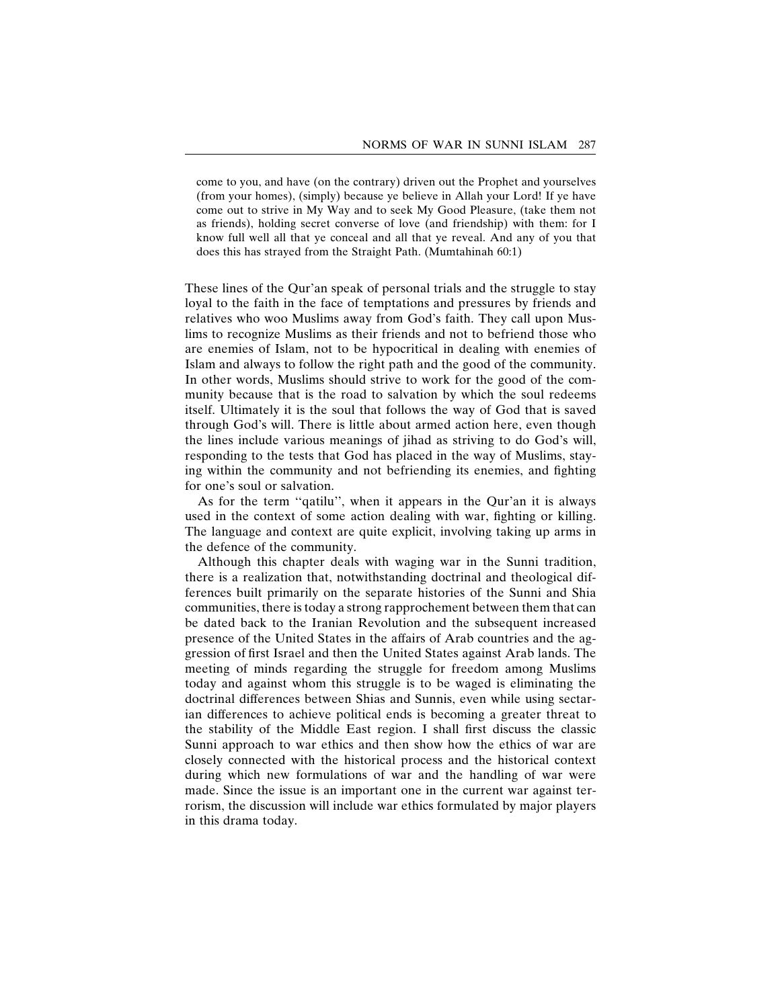come to you, and have (on the contrary) driven out the Prophet and yourselves (from your homes), (simply) because ye believe in Allah your Lord! If ye have come out to strive in My Way and to seek My Good Pleasure, (take them not as friends), holding secret converse of love (and friendship) with them: for I know full well all that ye conceal and all that ye reveal. And any of you that does this has strayed from the Straight Path. (Mumtahinah 60:1)

These lines of the Qur'an speak of personal trials and the struggle to stay loyal to the faith in the face of temptations and pressures by friends and relatives who woo Muslims away from God's faith. They call upon Muslims to recognize Muslims as their friends and not to befriend those who are enemies of Islam, not to be hypocritical in dealing with enemies of Islam and always to follow the right path and the good of the community. In other words, Muslims should strive to work for the good of the community because that is the road to salvation by which the soul redeems itself. Ultimately it is the soul that follows the way of God that is saved through God's will. There is little about armed action here, even though the lines include various meanings of jihad as striving to do God's will, responding to the tests that God has placed in the way of Muslims, staying within the community and not befriending its enemies, and fighting for one's soul or salvation.

As for the term ''qatilu'', when it appears in the Qur'an it is always used in the context of some action dealing with war, fighting or killing. The language and context are quite explicit, involving taking up arms in the defence of the community.

Although this chapter deals with waging war in the Sunni tradition, there is a realization that, notwithstanding doctrinal and theological differences built primarily on the separate histories of the Sunni and Shia communities, there is today a strong rapprochement between them that can be dated back to the Iranian Revolution and the subsequent increased presence of the United States in the affairs of Arab countries and the aggression of first Israel and then the United States against Arab lands. The meeting of minds regarding the struggle for freedom among Muslims today and against whom this struggle is to be waged is eliminating the doctrinal differences between Shias and Sunnis, even while using sectarian differences to achieve political ends is becoming a greater threat to the stability of the Middle East region. I shall first discuss the classic Sunni approach to war ethics and then show how the ethics of war are closely connected with the historical process and the historical context during which new formulations of war and the handling of war were made. Since the issue is an important one in the current war against terrorism, the discussion will include war ethics formulated by major players in this drama today.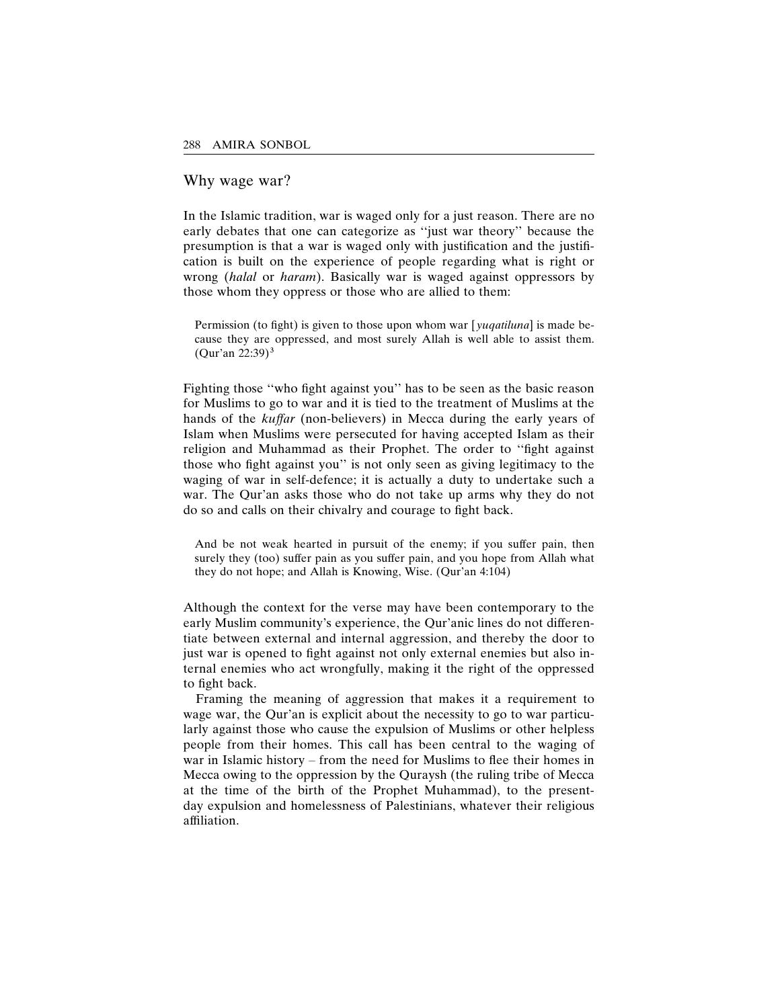#### Why wage war?

In the Islamic tradition, war is waged only for a just reason. There are no early debates that one can categorize as ''just war theory'' because the presumption is that a war is waged only with justification and the justification is built on the experience of people regarding what is right or wrong (halal or haram). Basically war is waged against oppressors by those whom they oppress or those who are allied to them:

Permission (to fight) is given to those upon whom war [ yuqatiluna] is made because they are oppressed, and most surely Allah is well able to assist them. (Our'an  $22:39$ )<sup>3</sup>

Fighting those ''who fight against you'' has to be seen as the basic reason for Muslims to go to war and it is tied to the treatment of Muslims at the hands of the kuffar (non-believers) in Mecca during the early years of Islam when Muslims were persecuted for having accepted Islam as their religion and Muhammad as their Prophet. The order to ''fight against those who fight against you'' is not only seen as giving legitimacy to the waging of war in self-defence; it is actually a duty to undertake such a war. The Qur'an asks those who do not take up arms why they do not do so and calls on their chivalry and courage to fight back.

And be not weak hearted in pursuit of the enemy; if you suffer pain, then surely they (too) suffer pain as you suffer pain, and you hope from Allah what they do not hope; and Allah is Knowing, Wise. (Qur'an 4:104)

Although the context for the verse may have been contemporary to the early Muslim community's experience, the Qur'anic lines do not differentiate between external and internal aggression, and thereby the door to just war is opened to fight against not only external enemies but also internal enemies who act wrongfully, making it the right of the oppressed to fight back.

Framing the meaning of aggression that makes it a requirement to wage war, the Qur'an is explicit about the necessity to go to war particularly against those who cause the expulsion of Muslims or other helpless people from their homes. This call has been central to the waging of war in Islamic history – from the need for Muslims to flee their homes in Mecca owing to the oppression by the Quraysh (the ruling tribe of Mecca at the time of the birth of the Prophet Muhammad), to the presentday expulsion and homelessness of Palestinians, whatever their religious affiliation.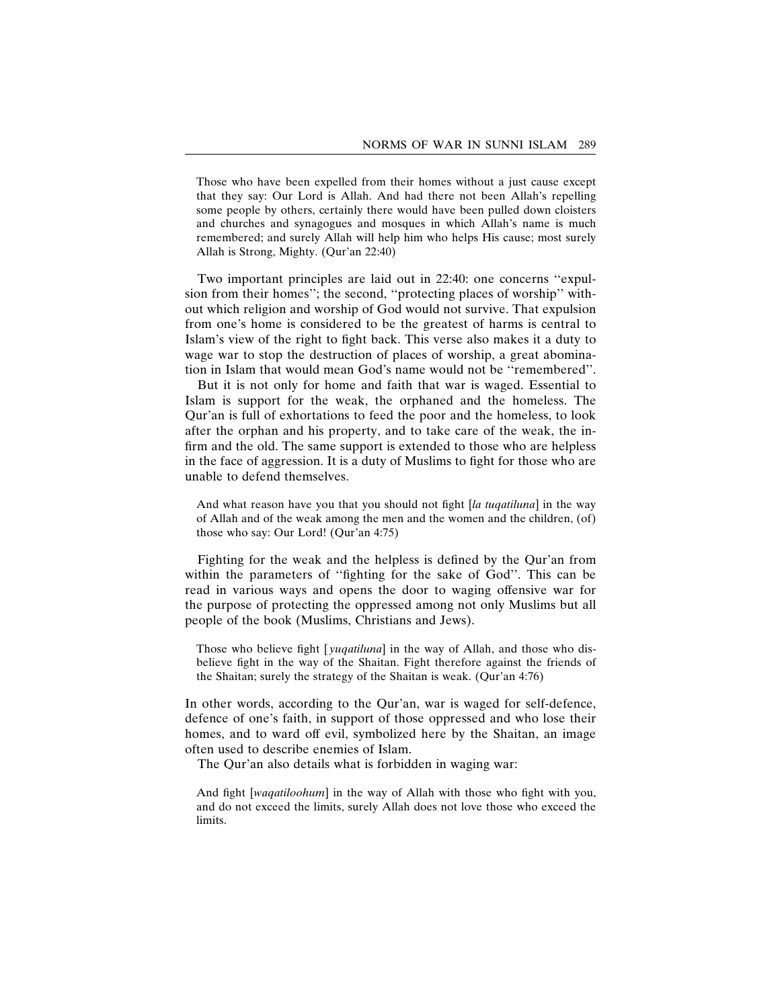Those who have been expelled from their homes without a just cause except that they say: Our Lord is Allah. And had there not been Allah's repelling some people by others, certainly there would have been pulled down cloisters and churches and synagogues and mosques in which Allah's name is much remembered; and surely Allah will help him who helps His cause; most surely Allah is Strong, Mighty. (Qur'an 22:40)

Two important principles are laid out in 22:40: one concerns ''expulsion from their homes''; the second, ''protecting places of worship'' without which religion and worship of God would not survive. That expulsion from one's home is considered to be the greatest of harms is central to Islam's view of the right to fight back. This verse also makes it a duty to wage war to stop the destruction of places of worship, a great abomination in Islam that would mean God's name would not be ''remembered''.

But it is not only for home and faith that war is waged. Essential to Islam is support for the weak, the orphaned and the homeless. The Qur'an is full of exhortations to feed the poor and the homeless, to look after the orphan and his property, and to take care of the weak, the infirm and the old. The same support is extended to those who are helpless in the face of aggression. It is a duty of Muslims to fight for those who are unable to defend themselves.

And what reason have you that you should not fight [la tuqatiluna] in the way of Allah and of the weak among the men and the women and the children, (of) those who say: Our Lord! (Qur'an 4:75)

Fighting for the weak and the helpless is defined by the Qur'an from within the parameters of "fighting for the sake of God". This can be read in various ways and opens the door to waging offensive war for the purpose of protecting the oppressed among not only Muslims but all people of the book (Muslims, Christians and Jews).

Those who believe fight [*yuqatiluna*] in the way of Allah, and those who disbelieve fight in the way of the Shaitan. Fight therefore against the friends of the Shaitan; surely the strategy of the Shaitan is weak. (Qur'an 4:76)

In other words, according to the Qur'an, war is waged for self-defence, defence of one's faith, in support of those oppressed and who lose their homes, and to ward off evil, symbolized here by the Shaitan, an image often used to describe enemies of Islam.

The Qur'an also details what is forbidden in waging war:

And fight [waqatiloohum] in the way of Allah with those who fight with you, and do not exceed the limits, surely Allah does not love those who exceed the limits.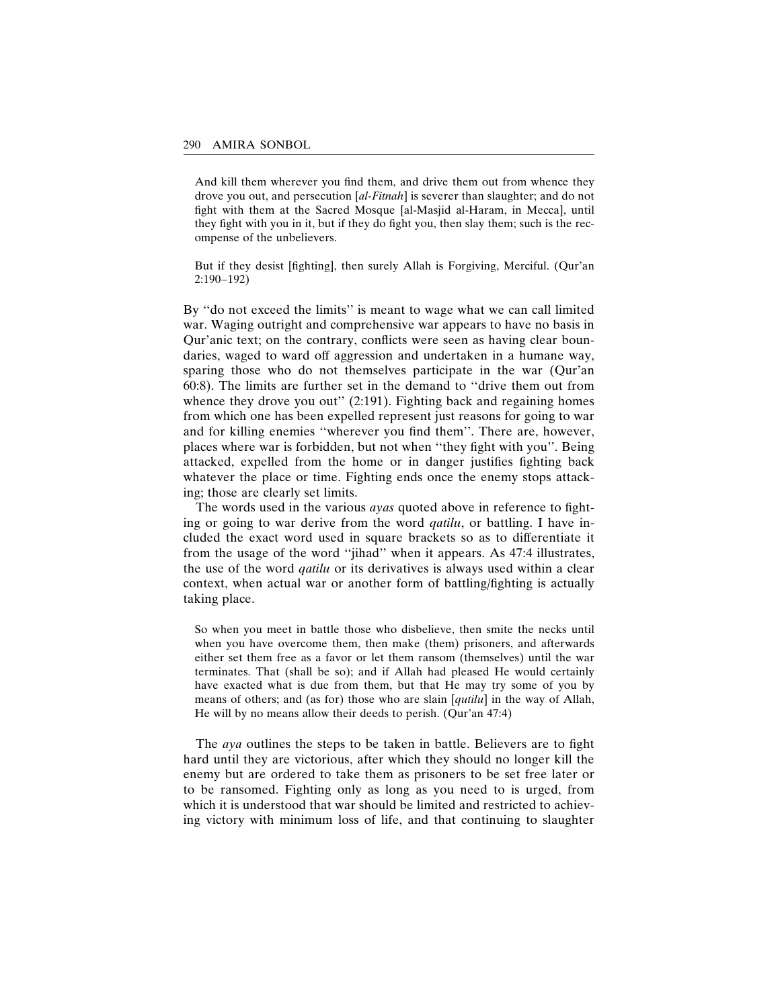And kill them wherever you find them, and drive them out from whence they drove you out, and persecution [al-Fitnah] is severer than slaughter; and do not fight with them at the Sacred Mosque [al-Masjid al-Haram, in Mecca], until they fight with you in it, but if they do fight you, then slay them; such is the recompense of the unbelievers.

But if they desist [fighting], then surely Allah is Forgiving, Merciful. (Qur'an 2:190–192)

By ''do not exceed the limits'' is meant to wage what we can call limited war. Waging outright and comprehensive war appears to have no basis in Qur'anic text; on the contrary, conflicts were seen as having clear boundaries, waged to ward off aggression and undertaken in a humane way, sparing those who do not themselves participate in the war (Qur'an 60:8). The limits are further set in the demand to ''drive them out from whence they drove you out" (2:191). Fighting back and regaining homes from which one has been expelled represent just reasons for going to war and for killing enemies ''wherever you find them''. There are, however, places where war is forbidden, but not when ''they fight with you''. Being attacked, expelled from the home or in danger justifies fighting back whatever the place or time. Fighting ends once the enemy stops attacking; those are clearly set limits.

The words used in the various *ayas* quoted above in reference to fighting or going to war derive from the word qatilu, or battling. I have included the exact word used in square brackets so as to differentiate it from the usage of the word ''jihad'' when it appears. As 47:4 illustrates, the use of the word qatilu or its derivatives is always used within a clear context, when actual war or another form of battling/fighting is actually taking place.

So when you meet in battle those who disbelieve, then smite the necks until when you have overcome them, then make (them) prisoners, and afterwards either set them free as a favor or let them ransom (themselves) until the war terminates. That (shall be so); and if Allah had pleased He would certainly have exacted what is due from them, but that He may try some of you by means of others; and (as for) those who are slain [qutilu] in the way of Allah, He will by no means allow their deeds to perish. (Qur'an 47:4)

The *aya* outlines the steps to be taken in battle. Believers are to fight hard until they are victorious, after which they should no longer kill the enemy but are ordered to take them as prisoners to be set free later or to be ransomed. Fighting only as long as you need to is urged, from which it is understood that war should be limited and restricted to achieving victory with minimum loss of life, and that continuing to slaughter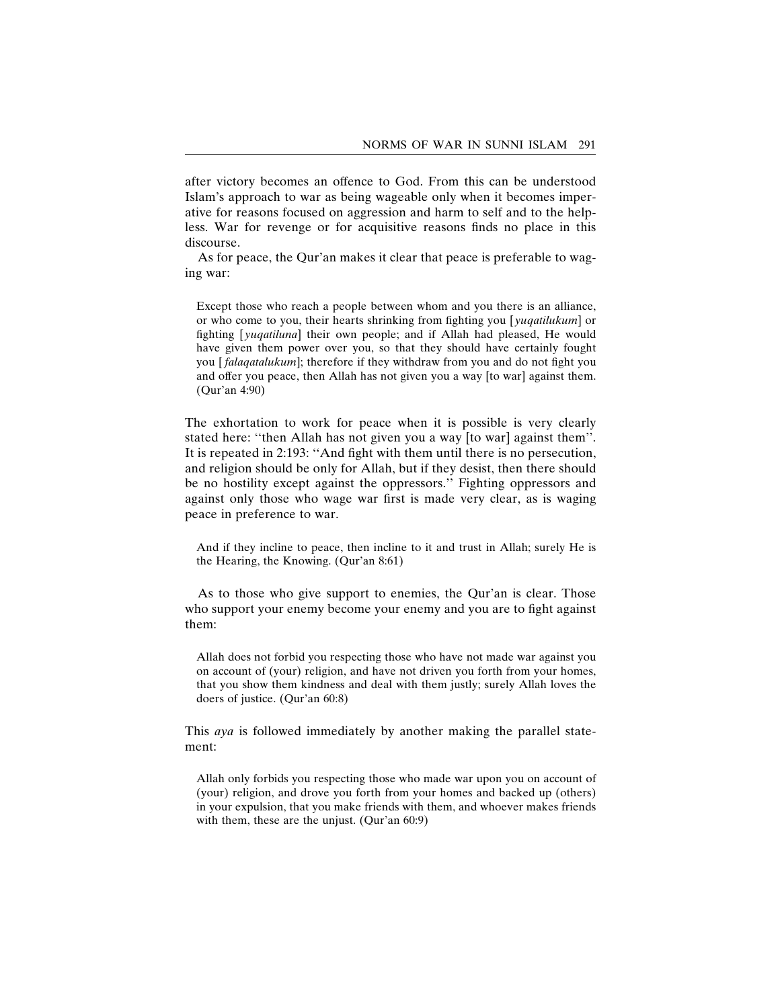after victory becomes an offence to God. From this can be understood Islam's approach to war as being wageable only when it becomes imperative for reasons focused on aggression and harm to self and to the helpless. War for revenge or for acquisitive reasons finds no place in this discourse.

As for peace, the Qur'an makes it clear that peace is preferable to waging war:

Except those who reach a people between whom and you there is an alliance, or who come to you, their hearts shrinking from fighting you [yuqatilukum] or fighting [ yuqatiluna] their own people; and if Allah had pleased, He would have given them power over you, so that they should have certainly fought you [ falaqatalukum]; therefore if they withdraw from you and do not fight you and offer you peace, then Allah has not given you a way [to war] against them. (Qur'an 4:90)

The exhortation to work for peace when it is possible is very clearly stated here: ''then Allah has not given you a way [to war] against them''. It is repeated in 2:193: ''And fight with them until there is no persecution, and religion should be only for Allah, but if they desist, then there should be no hostility except against the oppressors.'' Fighting oppressors and against only those who wage war first is made very clear, as is waging peace in preference to war.

And if they incline to peace, then incline to it and trust in Allah; surely He is the Hearing, the Knowing. (Qur'an 8:61)

As to those who give support to enemies, the Qur'an is clear. Those who support your enemy become your enemy and you are to fight against them:

Allah does not forbid you respecting those who have not made war against you on account of (your) religion, and have not driven you forth from your homes, that you show them kindness and deal with them justly; surely Allah loves the doers of justice. (Qur'an 60:8)

This *aya* is followed immediately by another making the parallel statement:

Allah only forbids you respecting those who made war upon you on account of (your) religion, and drove you forth from your homes and backed up (others) in your expulsion, that you make friends with them, and whoever makes friends with them, these are the unjust. (Qur'an 60:9)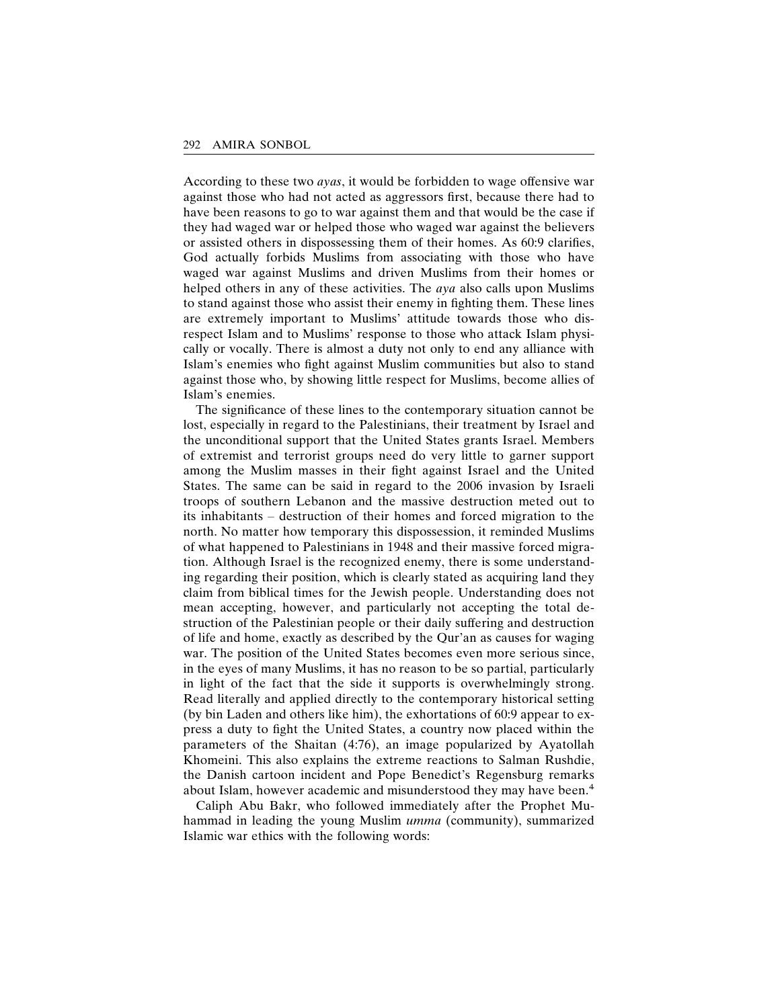According to these two ayas, it would be forbidden to wage offensive war against those who had not acted as aggressors first, because there had to have been reasons to go to war against them and that would be the case if they had waged war or helped those who waged war against the believers or assisted others in dispossessing them of their homes. As 60:9 clarifies, God actually forbids Muslims from associating with those who have waged war against Muslims and driven Muslims from their homes or helped others in any of these activities. The *aya* also calls upon Muslims to stand against those who assist their enemy in fighting them. These lines are extremely important to Muslims' attitude towards those who disrespect Islam and to Muslims' response to those who attack Islam physically or vocally. There is almost a duty not only to end any alliance with Islam's enemies who fight against Muslim communities but also to stand against those who, by showing little respect for Muslims, become allies of Islam's enemies.

The significance of these lines to the contemporary situation cannot be lost, especially in regard to the Palestinians, their treatment by Israel and the unconditional support that the United States grants Israel. Members of extremist and terrorist groups need do very little to garner support among the Muslim masses in their fight against Israel and the United States. The same can be said in regard to the 2006 invasion by Israeli troops of southern Lebanon and the massive destruction meted out to its inhabitants – destruction of their homes and forced migration to the north. No matter how temporary this dispossession, it reminded Muslims of what happened to Palestinians in 1948 and their massive forced migration. Although Israel is the recognized enemy, there is some understanding regarding their position, which is clearly stated as acquiring land they claim from biblical times for the Jewish people. Understanding does not mean accepting, however, and particularly not accepting the total destruction of the Palestinian people or their daily suffering and destruction of life and home, exactly as described by the Qur'an as causes for waging war. The position of the United States becomes even more serious since, in the eyes of many Muslims, it has no reason to be so partial, particularly in light of the fact that the side it supports is overwhelmingly strong. Read literally and applied directly to the contemporary historical setting (by bin Laden and others like him), the exhortations of 60:9 appear to express a duty to fight the United States, a country now placed within the parameters of the Shaitan (4:76), an image popularized by Ayatollah Khomeini. This also explains the extreme reactions to Salman Rushdie, the Danish cartoon incident and Pope Benedict's Regensburg remarks about Islam, however academic and misunderstood they may have been.4

Caliph Abu Bakr, who followed immediately after the Prophet Muhammad in leading the young Muslim *umma* (community), summarized Islamic war ethics with the following words: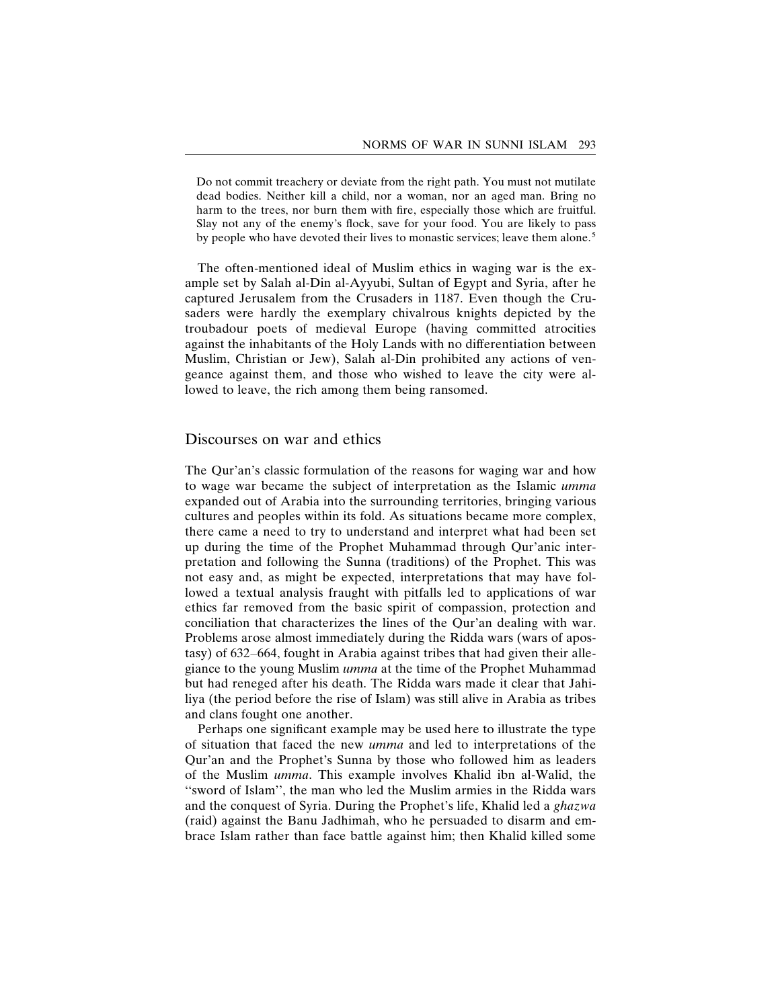Do not commit treachery or deviate from the right path. You must not mutilate dead bodies. Neither kill a child, nor a woman, nor an aged man. Bring no harm to the trees, nor burn them with fire, especially those which are fruitful. Slay not any of the enemy's flock, save for your food. You are likely to pass by people who have devoted their lives to monastic services; leave them alone.<sup>5</sup>

The often-mentioned ideal of Muslim ethics in waging war is the example set by Salah al-Din al-Ayyubi, Sultan of Egypt and Syria, after he captured Jerusalem from the Crusaders in 1187. Even though the Crusaders were hardly the exemplary chivalrous knights depicted by the troubadour poets of medieval Europe (having committed atrocities against the inhabitants of the Holy Lands with no differentiation between Muslim, Christian or Jew), Salah al-Din prohibited any actions of vengeance against them, and those who wished to leave the city were allowed to leave, the rich among them being ransomed.

## Discourses on war and ethics

The Qur'an's classic formulation of the reasons for waging war and how to wage war became the subject of interpretation as the Islamic umma expanded out of Arabia into the surrounding territories, bringing various cultures and peoples within its fold. As situations became more complex, there came a need to try to understand and interpret what had been set up during the time of the Prophet Muhammad through Qur'anic interpretation and following the Sunna (traditions) of the Prophet. This was not easy and, as might be expected, interpretations that may have followed a textual analysis fraught with pitfalls led to applications of war ethics far removed from the basic spirit of compassion, protection and conciliation that characterizes the lines of the Qur'an dealing with war. Problems arose almost immediately during the Ridda wars (wars of apostasy) of 632–664, fought in Arabia against tribes that had given their allegiance to the young Muslim umma at the time of the Prophet Muhammad but had reneged after his death. The Ridda wars made it clear that Jahiliya (the period before the rise of Islam) was still alive in Arabia as tribes and clans fought one another.

Perhaps one significant example may be used here to illustrate the type of situation that faced the new umma and led to interpretations of the Qur'an and the Prophet's Sunna by those who followed him as leaders of the Muslim umma. This example involves Khalid ibn al-Walid, the ''sword of Islam'', the man who led the Muslim armies in the Ridda wars and the conquest of Syria. During the Prophet's life, Khalid led a ghazwa (raid) against the Banu Jadhimah, who he persuaded to disarm and embrace Islam rather than face battle against him; then Khalid killed some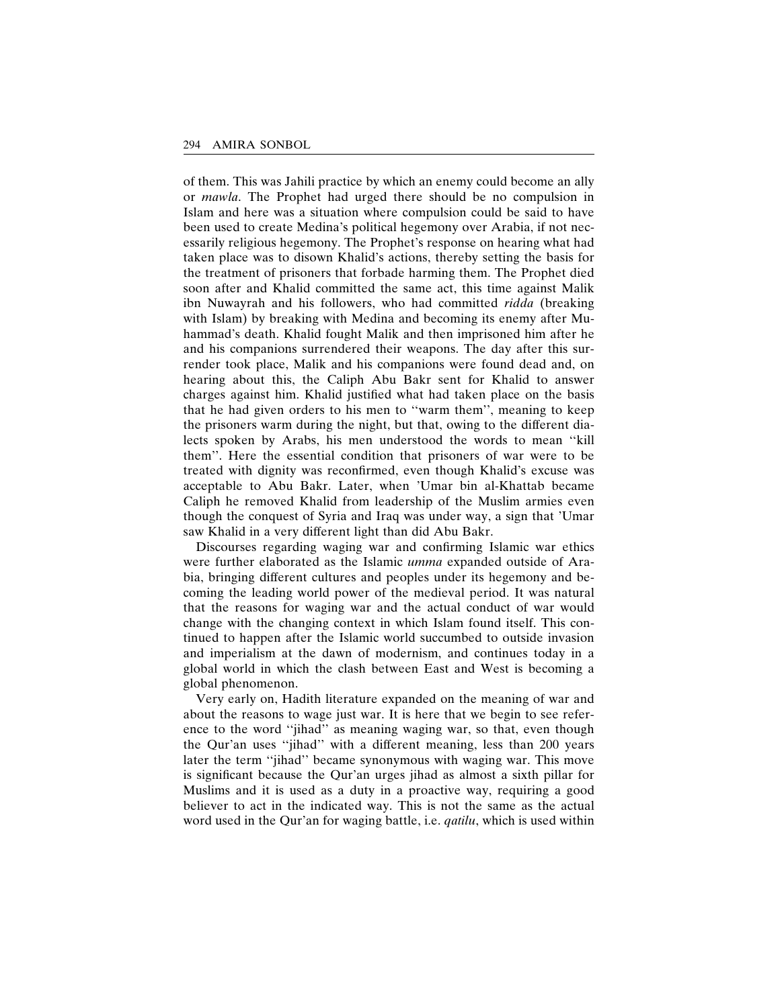of them. This was Jahili practice by which an enemy could become an ally or mawla. The Prophet had urged there should be no compulsion in Islam and here was a situation where compulsion could be said to have been used to create Medina's political hegemony over Arabia, if not necessarily religious hegemony. The Prophet's response on hearing what had taken place was to disown Khalid's actions, thereby setting the basis for the treatment of prisoners that forbade harming them. The Prophet died soon after and Khalid committed the same act, this time against Malik ibn Nuwayrah and his followers, who had committed ridda (breaking with Islam) by breaking with Medina and becoming its enemy after Muhammad's death. Khalid fought Malik and then imprisoned him after he and his companions surrendered their weapons. The day after this surrender took place, Malik and his companions were found dead and, on hearing about this, the Caliph Abu Bakr sent for Khalid to answer charges against him. Khalid justified what had taken place on the basis that he had given orders to his men to ''warm them'', meaning to keep the prisoners warm during the night, but that, owing to the different dialects spoken by Arabs, his men understood the words to mean ''kill them''. Here the essential condition that prisoners of war were to be treated with dignity was reconfirmed, even though Khalid's excuse was acceptable to Abu Bakr. Later, when 'Umar bin al-Khattab became Caliph he removed Khalid from leadership of the Muslim armies even though the conquest of Syria and Iraq was under way, a sign that 'Umar saw Khalid in a very different light than did Abu Bakr.

Discourses regarding waging war and confirming Islamic war ethics were further elaborated as the Islamic umma expanded outside of Arabia, bringing different cultures and peoples under its hegemony and becoming the leading world power of the medieval period. It was natural that the reasons for waging war and the actual conduct of war would change with the changing context in which Islam found itself. This continued to happen after the Islamic world succumbed to outside invasion and imperialism at the dawn of modernism, and continues today in a global world in which the clash between East and West is becoming a global phenomenon.

Very early on, Hadith literature expanded on the meaning of war and about the reasons to wage just war. It is here that we begin to see reference to the word ''jihad'' as meaning waging war, so that, even though the Qur'an uses ''jihad'' with a different meaning, less than 200 years later the term "jihad" became synonymous with waging war. This move is significant because the Qur'an urges jihad as almost a sixth pillar for Muslims and it is used as a duty in a proactive way, requiring a good believer to act in the indicated way. This is not the same as the actual word used in the Our'an for waging battle, i.e. *qatilu*, which is used within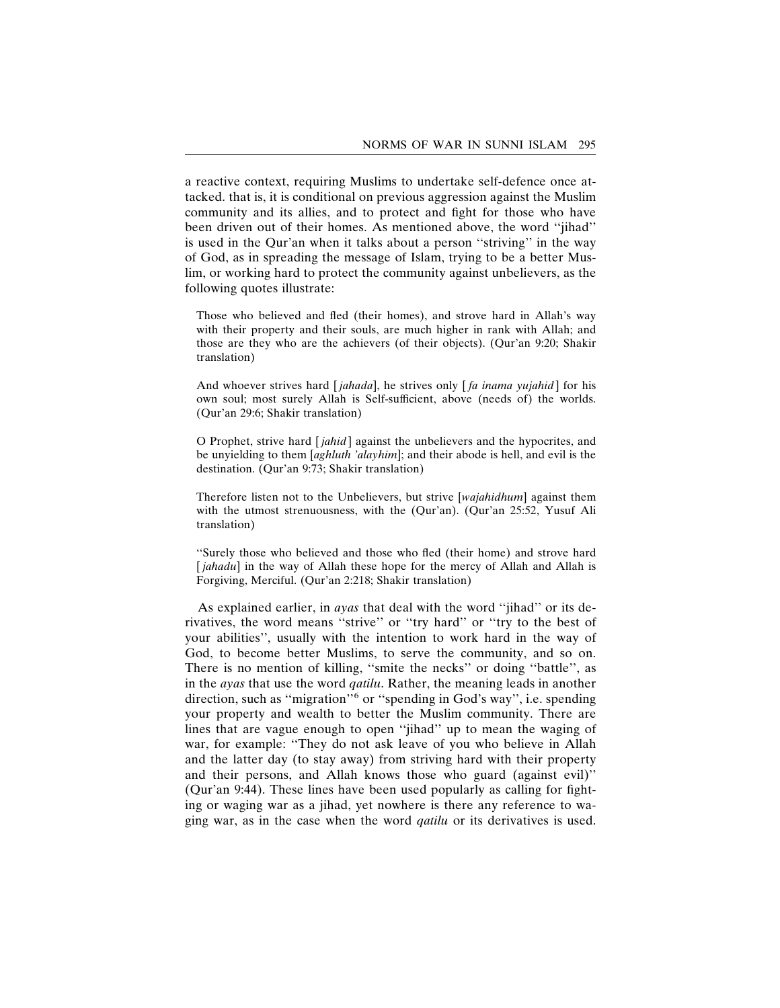a reactive context, requiring Muslims to undertake self-defence once attacked. that is, it is conditional on previous aggression against the Muslim community and its allies, and to protect and fight for those who have been driven out of their homes. As mentioned above, the word ''jihad'' is used in the Qur'an when it talks about a person ''striving'' in the way of God, as in spreading the message of Islam, trying to be a better Muslim, or working hard to protect the community against unbelievers, as the following quotes illustrate:

Those who believed and fled (their homes), and strove hard in Allah's way with their property and their souls, are much higher in rank with Allah; and those are they who are the achievers (of their objects). (Qur'an 9:20; Shakir translation)

And whoever strives hard [jahada], he strives only [fa inama yujahid] for his own soul; most surely Allah is Self-sufficient, above (needs of) the worlds. (Qur'an 29:6; Shakir translation)

O Prophet, strive hard [ jahid] against the unbelievers and the hypocrites, and be unyielding to them [aghluth 'alayhim]; and their abode is hell, and evil is the destination. (Qur'an 9:73; Shakir translation)

Therefore listen not to the Unbelievers, but strive [wajahidhum] against them with the utmost strenuousness, with the (Qur'an). (Qur'an 25:52, Yusuf Ali translation)

''Surely those who believed and those who fled (their home) and strove hard [*jahadu*] in the way of Allah these hope for the mercy of Allah and Allah is Forgiving, Merciful. (Qur'an 2:218; Shakir translation)

As explained earlier, in *ayas* that deal with the word "jihad" or its derivatives, the word means ''strive'' or ''try hard'' or ''try to the best of your abilities'', usually with the intention to work hard in the way of God, to become better Muslims, to serve the community, and so on. There is no mention of killing, ''smite the necks'' or doing ''battle'', as in the ayas that use the word qatilu. Rather, the meaning leads in another direction, such as "migration"<sup>6</sup> or "spending in God's way", i.e. spending your property and wealth to better the Muslim community. There are lines that are vague enough to open ''jihad'' up to mean the waging of war, for example: "They do not ask leave of you who believe in Allah and the latter day (to stay away) from striving hard with their property and their persons, and Allah knows those who guard (against evil)'' (Qur'an 9:44). These lines have been used popularly as calling for fighting or waging war as a jihad, yet nowhere is there any reference to waging war, as in the case when the word qatilu or its derivatives is used.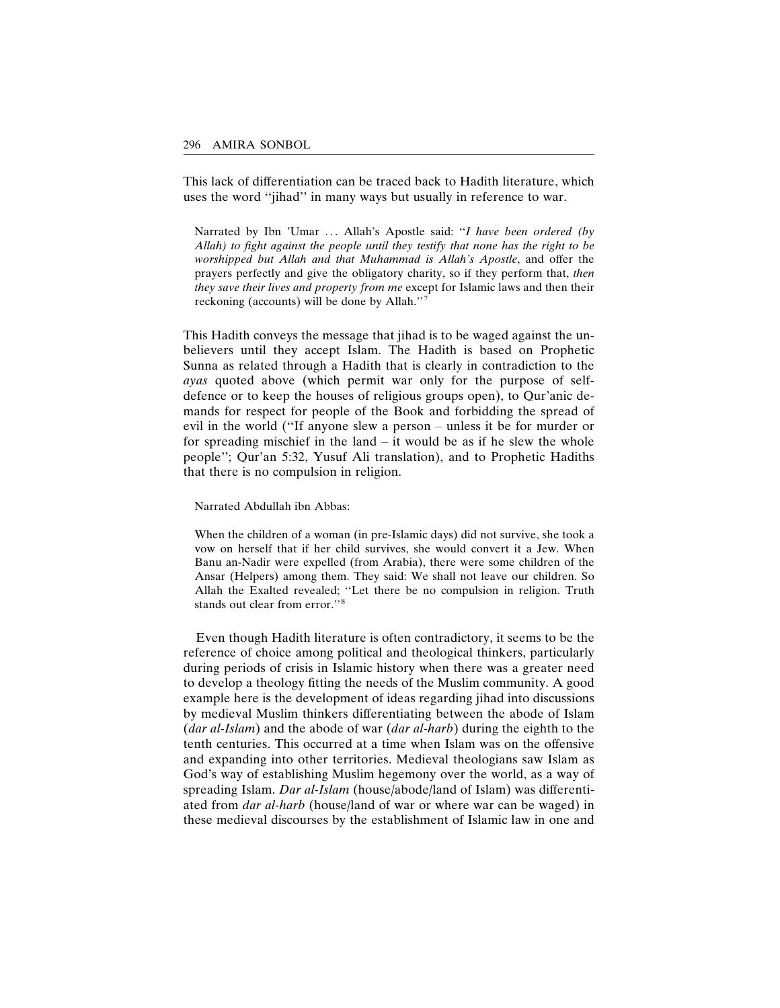This lack of differentiation can be traced back to Hadith literature, which uses the word ''jihad'' in many ways but usually in reference to war.

Narrated by Ibn 'Umar ... Allah's Apostle said: "I have been ordered (by Allah) to fight against the people until they testify that none has the right to be worshipped but Allah and that Muhammad is Allah's Apostle, and offer the prayers perfectly and give the obligatory charity, so if they perform that, then they save their lives and property from me except for Islamic laws and then their reckoning (accounts) will be done by Allah.''7

This Hadith conveys the message that jihad is to be waged against the unbelievers until they accept Islam. The Hadith is based on Prophetic Sunna as related through a Hadith that is clearly in contradiction to the ayas quoted above (which permit war only for the purpose of selfdefence or to keep the houses of religious groups open), to Qur'anic demands for respect for people of the Book and forbidding the spread of evil in the world (''If anyone slew a person – unless it be for murder or for spreading mischief in the land – it would be as if he slew the whole people''; Qur'an 5:32, Yusuf Ali translation), and to Prophetic Hadiths that there is no compulsion in religion.

Narrated Abdullah ibn Abbas:

When the children of a woman (in pre-Islamic days) did not survive, she took a vow on herself that if her child survives, she would convert it a Jew. When Banu an-Nadir were expelled (from Arabia), there were some children of the Ansar (Helpers) among them. They said: We shall not leave our children. So Allah the Exalted revealed; ''Let there be no compulsion in religion. Truth stands out clear from error."<sup>8</sup>

Even though Hadith literature is often contradictory, it seems to be the reference of choice among political and theological thinkers, particularly during periods of crisis in Islamic history when there was a greater need to develop a theology fitting the needs of the Muslim community. A good example here is the development of ideas regarding jihad into discussions by medieval Muslim thinkers differentiating between the abode of Islam (dar al-Islam) and the abode of war (dar al-harb) during the eighth to the tenth centuries. This occurred at a time when Islam was on the offensive and expanding into other territories. Medieval theologians saw Islam as God's way of establishing Muslim hegemony over the world, as a way of spreading Islam. Dar al-Islam (house/abode/land of Islam) was differentiated from dar al-harb (house/land of war or where war can be waged) in these medieval discourses by the establishment of Islamic law in one and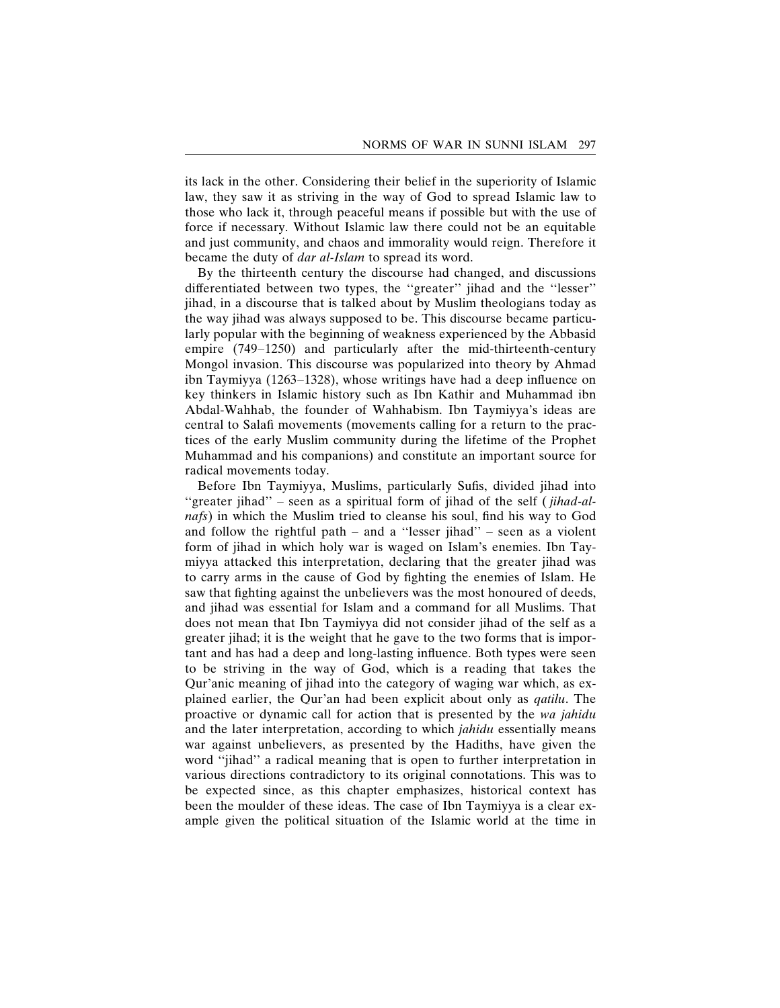its lack in the other. Considering their belief in the superiority of Islamic law, they saw it as striving in the way of God to spread Islamic law to those who lack it, through peaceful means if possible but with the use of force if necessary. Without Islamic law there could not be an equitable and just community, and chaos and immorality would reign. Therefore it became the duty of dar al-Islam to spread its word.

By the thirteenth century the discourse had changed, and discussions differentiated between two types, the ''greater'' jihad and the ''lesser'' jihad, in a discourse that is talked about by Muslim theologians today as the way jihad was always supposed to be. This discourse became particularly popular with the beginning of weakness experienced by the Abbasid empire (749–1250) and particularly after the mid-thirteenth-century Mongol invasion. This discourse was popularized into theory by Ahmad ibn Taymiyya (1263–1328), whose writings have had a deep influence on key thinkers in Islamic history such as Ibn Kathir and Muhammad ibn Abdal-Wahhab, the founder of Wahhabism. Ibn Taymiyya's ideas are central to Salafi movements (movements calling for a return to the practices of the early Muslim community during the lifetime of the Prophet Muhammad and his companions) and constitute an important source for radical movements today.

Before Ibn Taymiyya, Muslims, particularly Sufis, divided jihad into "greater jihad" – seen as a spiritual form of jihad of the self (*jihad-al*nafs) in which the Muslim tried to cleanse his soul, find his way to God and follow the rightful path – and a "lesser jihad" – seen as a violent form of jihad in which holy war is waged on Islam's enemies. Ibn Taymiyya attacked this interpretation, declaring that the greater jihad was to carry arms in the cause of God by fighting the enemies of Islam. He saw that fighting against the unbelievers was the most honoured of deeds, and jihad was essential for Islam and a command for all Muslims. That does not mean that Ibn Taymiyya did not consider jihad of the self as a greater jihad; it is the weight that he gave to the two forms that is important and has had a deep and long-lasting influence. Both types were seen to be striving in the way of God, which is a reading that takes the Qur'anic meaning of jihad into the category of waging war which, as explained earlier, the Qur'an had been explicit about only as qatilu. The proactive or dynamic call for action that is presented by the wa jahidu and the later interpretation, according to which jahidu essentially means war against unbelievers, as presented by the Hadiths, have given the word ''jihad'' a radical meaning that is open to further interpretation in various directions contradictory to its original connotations. This was to be expected since, as this chapter emphasizes, historical context has been the moulder of these ideas. The case of Ibn Taymiyya is a clear example given the political situation of the Islamic world at the time in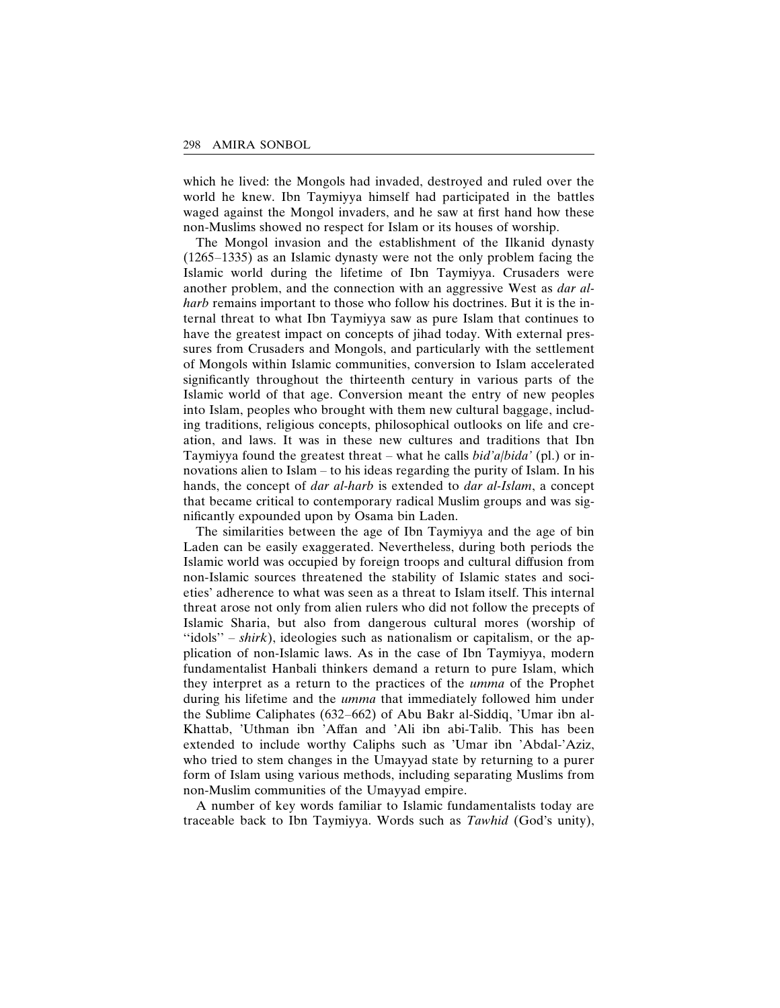which he lived: the Mongols had invaded, destroyed and ruled over the world he knew. Ibn Taymiyya himself had participated in the battles waged against the Mongol invaders, and he saw at first hand how these non-Muslims showed no respect for Islam or its houses of worship.

The Mongol invasion and the establishment of the Ilkanid dynasty (1265–1335) as an Islamic dynasty were not the only problem facing the Islamic world during the lifetime of Ibn Taymiyya. Crusaders were another problem, and the connection with an aggressive West as dar alharb remains important to those who follow his doctrines. But it is the internal threat to what Ibn Taymiyya saw as pure Islam that continues to have the greatest impact on concepts of jihad today. With external pressures from Crusaders and Mongols, and particularly with the settlement of Mongols within Islamic communities, conversion to Islam accelerated significantly throughout the thirteenth century in various parts of the Islamic world of that age. Conversion meant the entry of new peoples into Islam, peoples who brought with them new cultural baggage, including traditions, religious concepts, philosophical outlooks on life and creation, and laws. It was in these new cultures and traditions that Ibn Taymiyya found the greatest threat – what he calls  $bid'a/bida'$  (pl.) or innovations alien to Islam – to his ideas regarding the purity of Islam. In his hands, the concept of *dar al-harb* is extended to *dar al-Islam*, a concept that became critical to contemporary radical Muslim groups and was significantly expounded upon by Osama bin Laden.

The similarities between the age of Ibn Taymiyya and the age of bin Laden can be easily exaggerated. Nevertheless, during both periods the Islamic world was occupied by foreign troops and cultural diffusion from non-Islamic sources threatened the stability of Islamic states and societies' adherence to what was seen as a threat to Islam itself. This internal threat arose not only from alien rulers who did not follow the precepts of Islamic Sharia, but also from dangerous cultural mores (worship of "idols" – shirk), ideologies such as nationalism or capitalism, or the application of non-Islamic laws. As in the case of Ibn Taymiyya, modern fundamentalist Hanbali thinkers demand a return to pure Islam, which they interpret as a return to the practices of the umma of the Prophet during his lifetime and the umma that immediately followed him under the Sublime Caliphates (632–662) of Abu Bakr al-Siddiq, 'Umar ibn al-Khattab, 'Uthman ibn 'Affan and 'Ali ibn abi-Talib. This has been extended to include worthy Caliphs such as 'Umar ibn 'Abdal-'Aziz, who tried to stem changes in the Umayyad state by returning to a purer form of Islam using various methods, including separating Muslims from non-Muslim communities of the Umayyad empire.

A number of key words familiar to Islamic fundamentalists today are traceable back to Ibn Taymiyya. Words such as Tawhid (God's unity),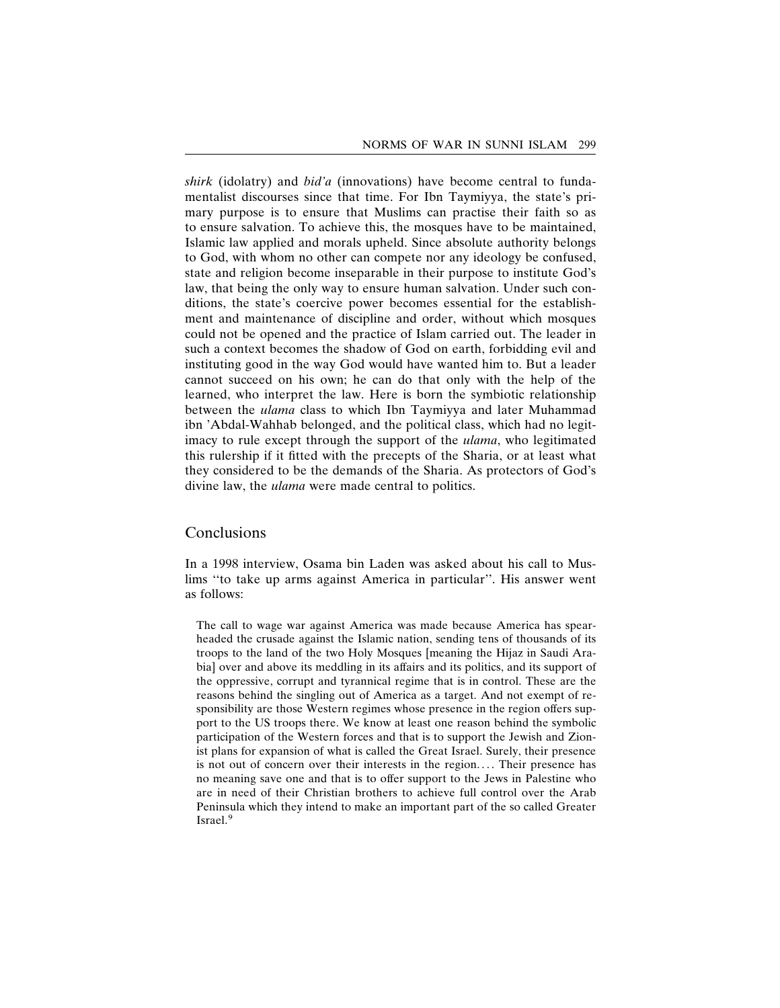shirk (idolatry) and bid'a (innovations) have become central to fundamentalist discourses since that time. For Ibn Taymiyya, the state's primary purpose is to ensure that Muslims can practise their faith so as to ensure salvation. To achieve this, the mosques have to be maintained, Islamic law applied and morals upheld. Since absolute authority belongs to God, with whom no other can compete nor any ideology be confused, state and religion become inseparable in their purpose to institute God's law, that being the only way to ensure human salvation. Under such conditions, the state's coercive power becomes essential for the establishment and maintenance of discipline and order, without which mosques could not be opened and the practice of Islam carried out. The leader in such a context becomes the shadow of God on earth, forbidding evil and instituting good in the way God would have wanted him to. But a leader cannot succeed on his own; he can do that only with the help of the learned, who interpret the law. Here is born the symbiotic relationship between the ulama class to which Ibn Taymiyya and later Muhammad ibn 'Abdal-Wahhab belonged, and the political class, which had no legitimacy to rule except through the support of the ulama, who legitimated this rulership if it fitted with the precepts of the Sharia, or at least what they considered to be the demands of the Sharia. As protectors of God's divine law, the ulama were made central to politics.

## Conclusions

In a 1998 interview, Osama bin Laden was asked about his call to Muslims ''to take up arms against America in particular''. His answer went as follows:

The call to wage war against America was made because America has spearheaded the crusade against the Islamic nation, sending tens of thousands of its troops to the land of the two Holy Mosques [meaning the Hijaz in Saudi Arabia] over and above its meddling in its affairs and its politics, and its support of the oppressive, corrupt and tyrannical regime that is in control. These are the reasons behind the singling out of America as a target. And not exempt of responsibility are those Western regimes whose presence in the region offers support to the US troops there. We know at least one reason behind the symbolic participation of the Western forces and that is to support the Jewish and Zionist plans for expansion of what is called the Great Israel. Surely, their presence is not out of concern over their interests in the region.... Their presence has no meaning save one and that is to offer support to the Jews in Palestine who are in need of their Christian brothers to achieve full control over the Arab Peninsula which they intend to make an important part of the so called Greater Israel.<sup>9</sup>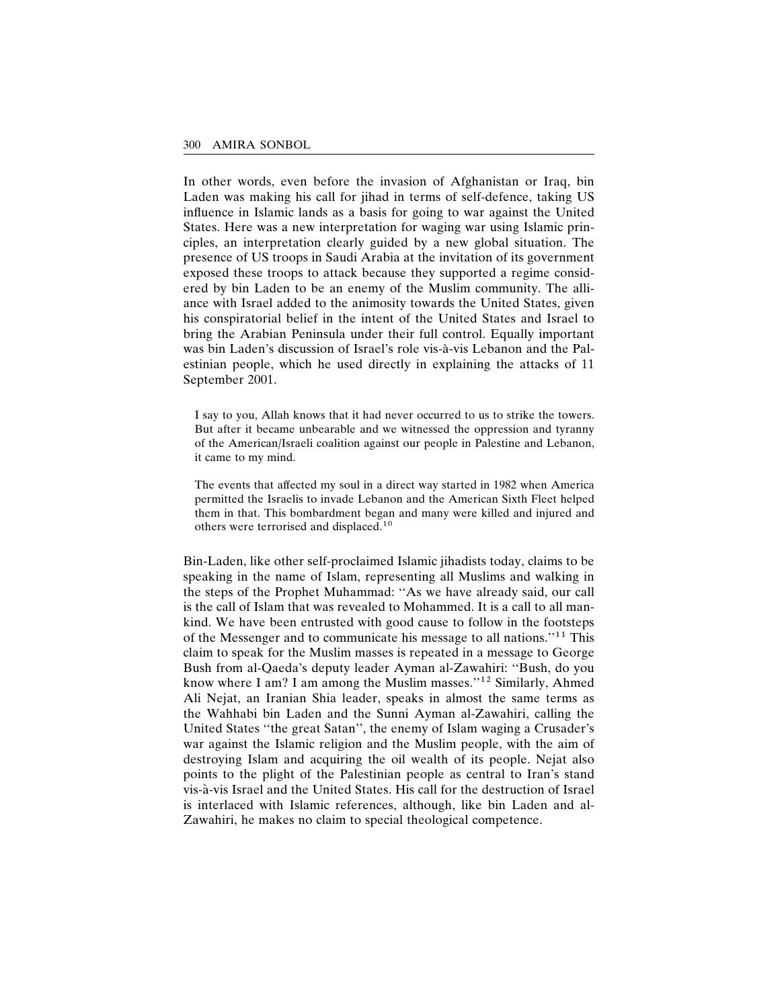In other words, even before the invasion of Afghanistan or Iraq, bin Laden was making his call for jihad in terms of self-defence, taking US influence in Islamic lands as a basis for going to war against the United States. Here was a new interpretation for waging war using Islamic principles, an interpretation clearly guided by a new global situation. The presence of US troops in Saudi Arabia at the invitation of its government exposed these troops to attack because they supported a regime considered by bin Laden to be an enemy of the Muslim community. The alliance with Israel added to the animosity towards the United States, given his conspiratorial belief in the intent of the United States and Israel to bring the Arabian Peninsula under their full control. Equally important was bin Laden's discussion of Israel's role vis-a`-vis Lebanon and the Palestinian people, which he used directly in explaining the attacks of 11 September 2001.

I say to you, Allah knows that it had never occurred to us to strike the towers. But after it became unbearable and we witnessed the oppression and tyranny of the American/Israeli coalition against our people in Palestine and Lebanon, it came to my mind.

The events that affected my soul in a direct way started in 1982 when America permitted the Israelis to invade Lebanon and the American Sixth Fleet helped them in that. This bombardment began and many were killed and injured and others were terrorised and displaced.10

Bin-Laden, like other self-proclaimed Islamic jihadists today, claims to be speaking in the name of Islam, representing all Muslims and walking in the steps of the Prophet Muhammad: ''As we have already said, our call is the call of Islam that was revealed to Mohammed. It is a call to all mankind. We have been entrusted with good cause to follow in the footsteps of the Messenger and to communicate his message to all nations.''11 This claim to speak for the Muslim masses is repeated in a message to George Bush from al-Qaeda's deputy leader Ayman al-Zawahiri: ''Bush, do you know where I am? I am among the Muslim masses."<sup>12</sup> Similarly, Ahmed Ali Nejat, an Iranian Shia leader, speaks in almost the same terms as the Wahhabi bin Laden and the Sunni Ayman al-Zawahiri, calling the United States ''the great Satan'', the enemy of Islam waging a Crusader's war against the Islamic religion and the Muslim people, with the aim of destroying Islam and acquiring the oil wealth of its people. Nejat also points to the plight of the Palestinian people as central to Iran's stand vis-a`-vis Israel and the United States. His call for the destruction of Israel is interlaced with Islamic references, although, like bin Laden and al-Zawahiri, he makes no claim to special theological competence.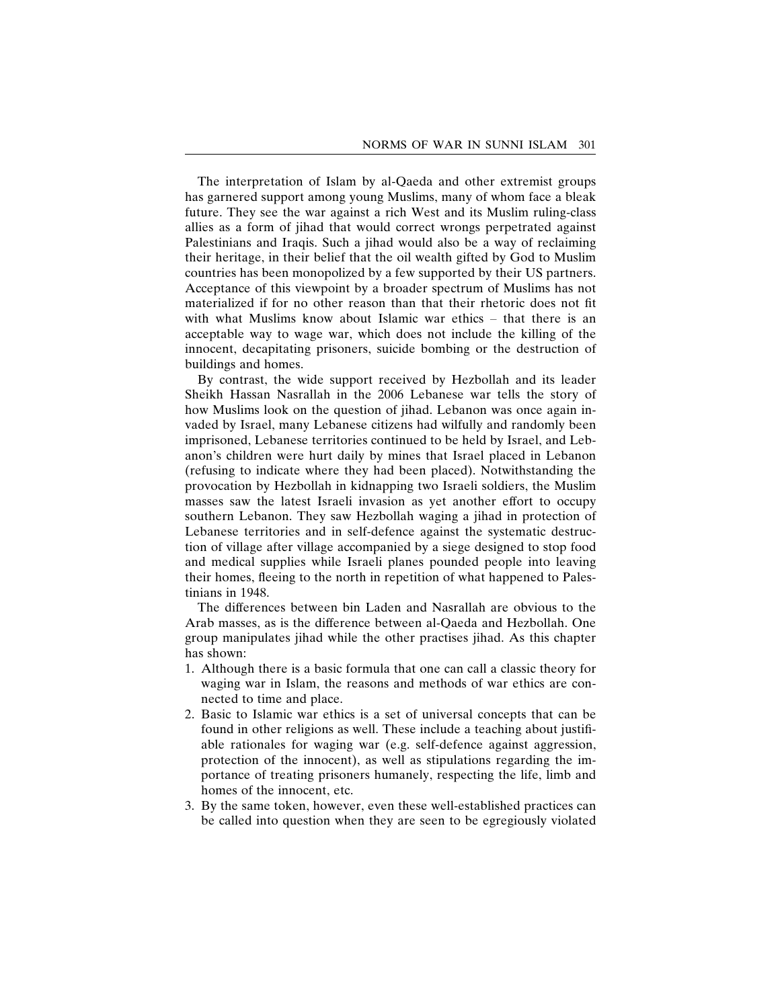The interpretation of Islam by al-Qaeda and other extremist groups has garnered support among young Muslims, many of whom face a bleak future. They see the war against a rich West and its Muslim ruling-class allies as a form of jihad that would correct wrongs perpetrated against Palestinians and Iraqis. Such a jihad would also be a way of reclaiming their heritage, in their belief that the oil wealth gifted by God to Muslim countries has been monopolized by a few supported by their US partners. Acceptance of this viewpoint by a broader spectrum of Muslims has not materialized if for no other reason than that their rhetoric does not fit with what Muslims know about Islamic war ethics – that there is an acceptable way to wage war, which does not include the killing of the innocent, decapitating prisoners, suicide bombing or the destruction of buildings and homes.

By contrast, the wide support received by Hezbollah and its leader Sheikh Hassan Nasrallah in the 2006 Lebanese war tells the story of how Muslims look on the question of jihad. Lebanon was once again invaded by Israel, many Lebanese citizens had wilfully and randomly been imprisoned, Lebanese territories continued to be held by Israel, and Lebanon's children were hurt daily by mines that Israel placed in Lebanon (refusing to indicate where they had been placed). Notwithstanding the provocation by Hezbollah in kidnapping two Israeli soldiers, the Muslim masses saw the latest Israeli invasion as yet another effort to occupy southern Lebanon. They saw Hezbollah waging a jihad in protection of Lebanese territories and in self-defence against the systematic destruction of village after village accompanied by a siege designed to stop food and medical supplies while Israeli planes pounded people into leaving their homes, fleeing to the north in repetition of what happened to Palestinians in 1948.

The differences between bin Laden and Nasrallah are obvious to the Arab masses, as is the difference between al-Qaeda and Hezbollah. One group manipulates jihad while the other practises jihad. As this chapter has shown:

- 1. Although there is a basic formula that one can call a classic theory for waging war in Islam, the reasons and methods of war ethics are connected to time and place.
- 2. Basic to Islamic war ethics is a set of universal concepts that can be found in other religions as well. These include a teaching about justifiable rationales for waging war (e.g. self-defence against aggression, protection of the innocent), as well as stipulations regarding the importance of treating prisoners humanely, respecting the life, limb and homes of the innocent, etc.
- 3. By the same token, however, even these well-established practices can be called into question when they are seen to be egregiously violated